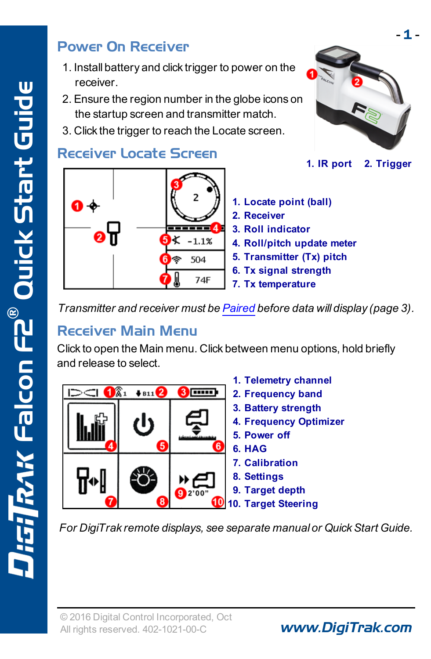#### Power On Receiver

- 1. Install battery and click trigger to power on the receiver.
- 2. Ensure the region number in the globe icons on the startup screen and transmitter match.
- 3. Click the trigger to reach the Locate screen.

#### Receiver Locate Screen



- 
- **1. IR port 2. Trigger**
- **1. Locate point (ball)**
- **2. Receiver**
- **3. Roll indicator**
- **4. Roll/pitch update meter**
- **5. Transmitter (Tx) pitch**
- **6. Tx signal strength**
- **7. Tx temperature**

*Transmitter and receiver must be [Paired](#page-2-0) before data will display (page [3](#page-2-0)).*

#### Receiver Main Menu

Click to open the Main menu. Click between menu options, hold briefly and release to select.

|                             |   |        | 1. Telemetry channel   |
|-----------------------------|---|--------|------------------------|
| $B11$ <sup>2</sup><br>----- |   |        | 2. Frequency band      |
|                             |   |        | 3. Battery strength    |
|                             |   |        | 4. Frequency Optimizer |
|                             |   |        | 5. Power off           |
|                             | 5 |        | 6. HAG                 |
|                             |   |        | 7. Calibration         |
|                             |   |        | 8. Settings            |
|                             |   | 12'00" | 9. Target depth        |
|                             | R |        | 10. Target Steering    |

*For DigiTrak remote displays, see separate manual or QuickStart Guide.*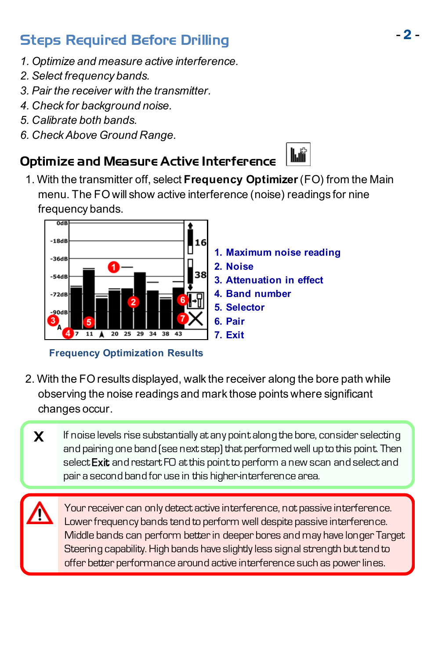# - <sup>2</sup> - Steps Required Before Drilling

- *1. Optimize and measure active interference.*
- *2. Select frequency bands.*
- *3. Pair the receiver with the transmitter.*
- *4. Check for background noise.*
- *5. Calibrate both bands.*
- *6. CheckAbove Ground Range.*

#### Optimize and Measure Active Interference

1. With the transmitter off, select **Frequency Optimizer**(FO) from the Main menu. The FO will show active interference (noise) readings for nine frequency bands.



**Frequency Optimization Results**

- 2. With the FO results displayed, walk the receiver along the bore path while observing the noise readings and mark those points where significant changes occur.
	- $\boldsymbol{X}$  If noise levels rise substantially at any point along the bore, consider selecting and pairing one band (see next step) that performedwell up to this point. Then select Exit and restart FO at this point to perform a new scan and select and pair a second band for use in this higher-interference area.

Your receiver can only detect active interference, not passive interference. Lower frequency bands tend to perform well despite passive interference. Middle bands can perform betterin deeper bores and may have longer Target Steering capability. High bands have slightly less signal strength but tend to offer better performance around active interference such as power lines.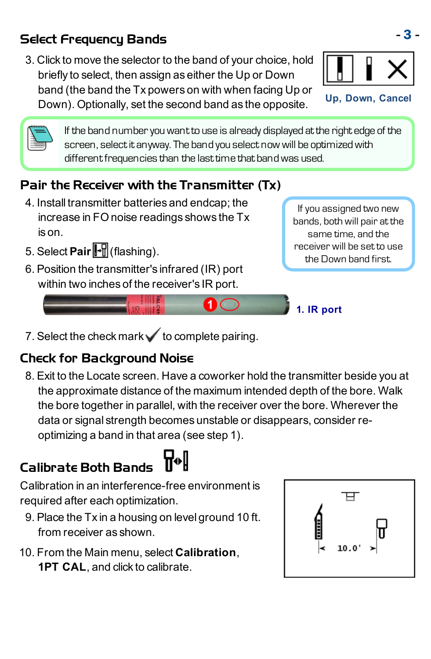## Select - 3 - Frequency Bands

3. Click to move the selector to the band of your choice, hold briefly to select, then assign as either the Up or Down band (the band the Tx powers on with when facing Up or Down). Optionally, set the second band as the opposite.

**Up, Down, Cancel**



If the band numberyouwantto use is already displayed atthe right edge of the screen, select it anyway. The band you select now will be optimized with different frequencies than the last time that band was used.

### <span id="page-2-0"></span>Pair the Receiver with the Transmitter (Tx)

- 4. Install transmitter batteries and endcap; the increase in FO noise readings shows the Tx is on.
- 5. Select **Pair** (flashing).
- 6. Position the transmitter's infrared (IR) port within two inches of the receiver's IR port.

If you assigned two new bands, both will pair at the same time, and the receiver will be set to use the Down band first.



7. Select the check mark  $\checkmark$  to complete pairing.

#### Check for Background Noise

8. Exit to the Locate screen. Have a coworker hold the transmitter beside you at the approximate distance of the maximum intended depth of the bore. Walk the bore together in parallel, with the receiver over the bore. Wherever the data or signal strength becomes unstable or disappears, consider reoptimizing a band in that area (see step 1).

# Calibrate Both Bands

Calibration in an interference-free environment is required after each optimization.

- 9. Place the Tx in a housing on level ground 10 ft. from receiver as shown.
- 10. From the Main menu, select **Calibration**, **1PT CAL**, and click to calibrate.

| 10.0' |  |
|-------|--|
|       |  |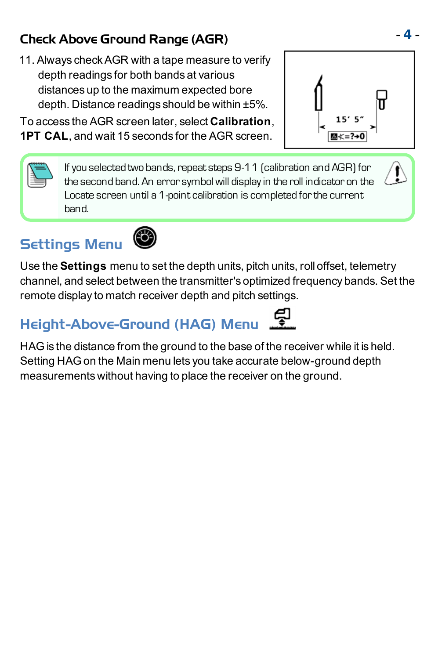## - 4 - Check Above Ground Range (AGR)

11. Always checkAGR with a tape measure to verify depth readings for both bands at various distances up to the maximum expected bore depth. Distance readings should be within ±5%.

To access the AGR screen later, select **Calibration**, **1PT CAL**, and wait 15 seconds for the AGR screen.

> If you selected two bands, repeat steps 9-11 (calibration and AGR) for the second band. An error symbol will displayin the roll indicator on the Locate screen until a 1-point calibration is completed for the current band.

# Settings Menu



Use the **Settings** menu to set the depth units, pitch units, roll offset, telemetry channel, and select between the transmitter's optimized frequency bands. Set the remote display to match receiver depth and pitch settings.

# Height-Above-Ground (HAG) Menu

HAG is the distance from the ground to the base of the receiver while it is held. Setting HAG on the Main menu lets you take accurate below-ground depth measurements without having to place the receiver on the ground.





 $\tilde{\mathbf{l}}$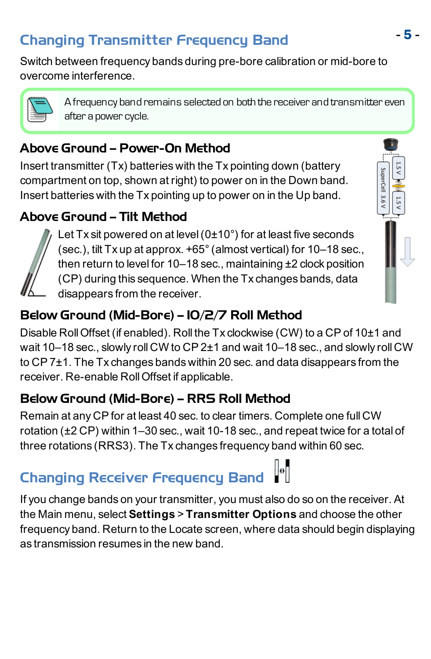# - <sup>5</sup> - Changing Transmitter Frequency Band

Switch between frequency bands during pre-bore calibration or mid-bore to overcome interference.



Afrequency band remains selected on both the receiver and transmitter even after a power cycle.

#### Above Ground – Power-On Method

Insert transmitter (Tx) batteries with the Tx pointing down (battery compartment on top, shown at right) to power on in the Down band. Insert batteries with the Tx pointing up to power on in the Up band.

#### Above Ground – Tilt Method



Let Tx sit powered on at level (0±10°) for at least five seconds (sec.), tilt Tx up at approx. +65°(almost vertical) for 10–18 sec., then return to level for 10–18 sec., maintaining ±2 clock position (CP) during this sequence. When the Tx changes bands, data disappears from the receiver.



### Below Ground (Mid-Bore) – 10/2/7 Roll Method

Disable RollOffset (if enabled). Roll the Tx clockwise (CW) to a CP of 10±1 and wait 10–18 sec., slowly roll CW to CP 2±1 and wait 10–18 sec., and slowly roll CW to CP 7±1. The Tx changes bands within 20 sec. and data disappears from the receiver. Re-enable RollOffset if applicable.

#### Below Ground (Mid-Bore) – RRS Roll Method

Remain at any CP for at least 40 sec. to clear timers. Complete one full CW rotation (±2 CP) within 1–30 sec., wait 10-18 sec., and repeat twice for a total of three rotations (RRS3). The Tx changes frequency band within 60 sec.

# Changing Receiver Frequency Band

If you change bands on your transmitter, you must also do so on the receiver. At the Main menu, select **Settings** > **Transmitter Options** and choose the other frequency band. Return to the Locate screen, where data should begin displaying as transmission resumes in the new band.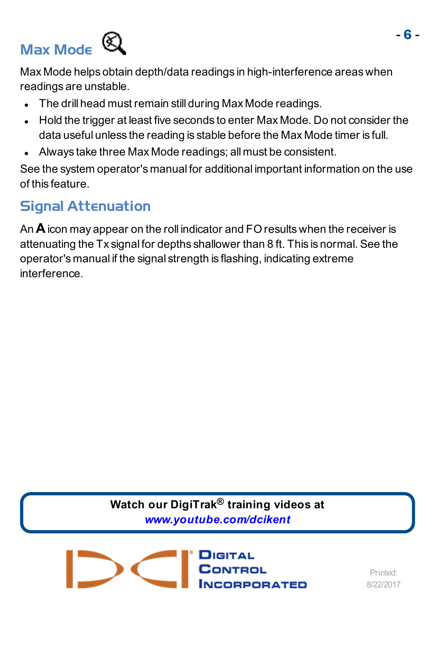# <span id="page-5-0"></span>Max Mode



Max Mode helps obtain depth/data readings in high-interference areas when readings are unstable.

- The drill head must remain still during Max Mode readings.
- Hold the trigger at least five seconds to enter Max Mode. Do not consider the data useful unless the reading is stable before the Max Mode timer is full.
- Always take three Max Mode readings; all must be consistent.

See the system operator's manual for additional important information on the use of this feature.

### Signal Attenuation

An **A**icon may appear on the roll indicator and FO results when the receiver is attenuating the Tx signal for depths shallower than 8 ft. This is normal. See the operator's manual if the signal strength is flashing, indicating extreme interference.

> **Watch our DigiTrak® training videos at** *[www.youtube.com/dcikent](http://www.youtube.com/dcikent)*

CONTROL **ORPORATED** 

Printed: 8/22/2017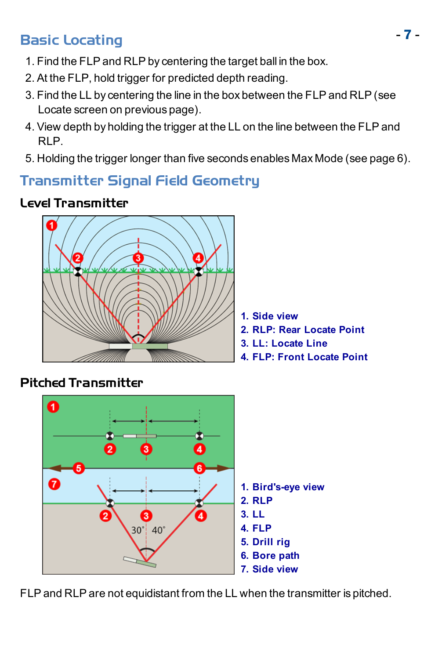# - <sup>7</sup> - Basic Locating

- 1. Find the FLP and RLP by centering the target ball in the box.
- 2. At the FLP, hold trigger for predicted depth reading.
- 3. Find the LL by centering the line in the box between the FLP and RLP (see Locate screen on previous page).
- 4. View depth by holding the trigger at the LL on the line between the FLP and RLP.
- 5. Holding the trigger longer than five seconds enables Max [Mode](#page-5-0) (see page [6](#page-5-0)).

#### Transmitter Signal Field Geometry

#### Level Transmitter



- **1. Side view**
- **2. RLP: Rear Locate Point**
- **3. LL: Locate Line**
- **4. FLP: Front Locate Point**

#### Pitched Transmitter



FLP and RLP are not equidistant from the LL when the transmitter is pitched.